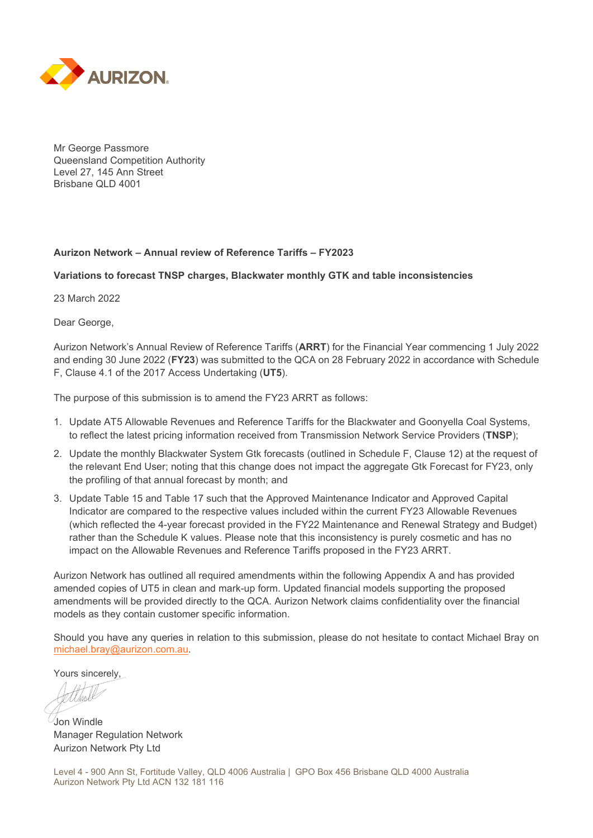

Mr George Passmore Queensland Competition Authority Level 27, 145 Ann Street Brisbane QLD 4001

#### **Aurizon Network – Annual review of Reference Tariffs – FY2023**

#### **Variations to forecast TNSP charges, Blackwater monthly GTK and table inconsistencies**

23 March 2022

Dear George,

Aurizon Network's Annual Review of Reference Tariffs (**ARRT**) for the Financial Year commencing 1 July 2022 and ending 30 June 2022 (**FY23**) was submitted to the QCA on 28 February 2022 in accordance with Schedule F, Clause 4.1 of the 2017 Access Undertaking (**UT5**).

The purpose of this submission is to amend the FY23 ARRT as follows:

- 1. Update AT5 Allowable Revenues and Reference Tariffs for the Blackwater and Goonyella Coal Systems, to reflect the latest pricing information received from Transmission Network Service Providers (**TNSP**);
- 2. Update the monthly Blackwater System Gtk forecasts (outlined in Schedule F, Clause 12) at the request of the relevant End User; noting that this change does not impact the aggregate Gtk Forecast for FY23, only the profiling of that annual forecast by month; and
- 3. Update Table 15 and Table 17 such that the Approved Maintenance Indicator and Approved Capital Indicator are compared to the respective values included within the current FY23 Allowable Revenues (which reflected the 4-year forecast provided in the FY22 Maintenance and Renewal Strategy and Budget) rather than the Schedule K values. Please note that this inconsistency is purely cosmetic and has no impact on the Allowable Revenues and Reference Tariffs proposed in the FY23 ARRT.

Aurizon Network has outlined all required amendments within the following Appendix A and has provided amended copies of UT5 in clean and mark-up form. Updated financial models supporting the proposed amendments will be provided directly to the QCA. Aurizon Network claims confidentiality over the financial models as they contain customer specific information.

Should you have any queries in relation to this submission, please do not hesitate to contact Michael Bray on [michael.bray@aurizon.com.au.](mailto:michael.bray@aurizon.com.au)

Yours sincerely,

Jon Windle

Manager Regulation Network Aurizon Network Pty Ltd

Level 4 - 900 Ann St, Fortitude Valley, QLD 4006 Australia | GPO Box 456 Brisbane QLD 4000 Australia Aurizon Network Pty Ltd ACN 132 181 116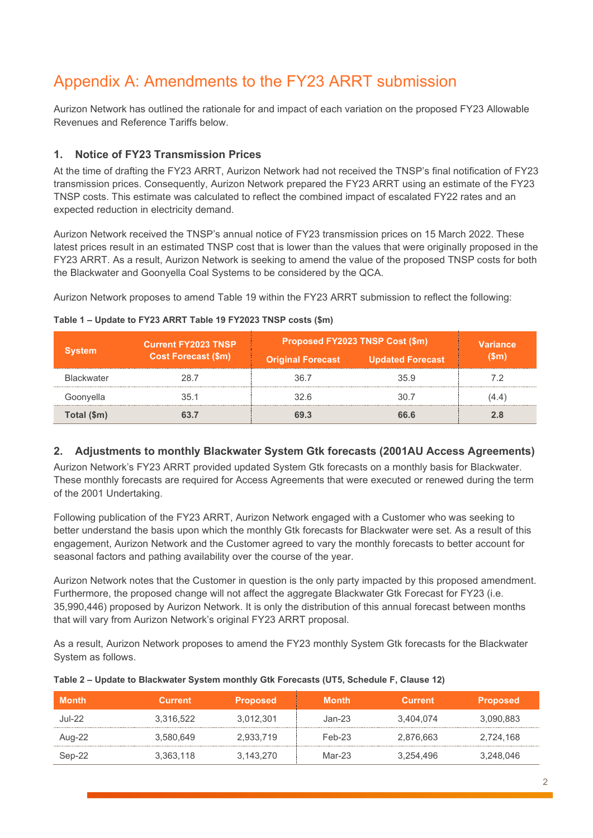# Appendix A: Amendments to the FY23 ARRT submission

Aurizon Network has outlined the rationale for and impact of each variation on the proposed FY23 Allowable Revenues and Reference Tariffs below.

## **1. Notice of FY23 Transmission Prices**

At the time of drafting the FY23 ARRT, Aurizon Network had not received the TNSP's final notification of FY23 transmission prices. Consequently, Aurizon Network prepared the FY23 ARRT using an estimate of the FY23 TNSP costs. This estimate was calculated to reflect the combined impact of escalated FY22 rates and an expected reduction in electricity demand.

Aurizon Network received the TNSP's annual notice of FY23 transmission prices on 15 March 2022. These latest prices result in an estimated TNSP cost that is lower than the values that were originally proposed in the FY23 ARRT. As a result, Aurizon Network is seeking to amend the value of the proposed TNSP costs for both the Blackwater and Goonyella Coal Systems to be considered by the QCA.

Aurizon Network proposes to amend Table 19 within the FY23 ARRT submission to reflect the following:

| vstem             | <b>Current FY2023 TNSP</b><br><b>Cost Forecast (\$m)</b> | Proposed FY2023 TNSP Cost (\$m) | <b>Variance</b>         |       |
|-------------------|----------------------------------------------------------|---------------------------------|-------------------------|-------|
|                   |                                                          | <b>Original Forecast</b>        | <b>Updated Forecast</b> | (Sm)  |
| <b>Blackwater</b> | 28.7                                                     | 36.7                            | 35.9                    |       |
| Goonyella         | 35 1                                                     | 32 R                            | 30 Z                    | (4.4) |
| Total (\$m)       |                                                          | 69.3                            | 66.6                    | 2.8   |

#### **Table 1 – Update to FY23 ARRT Table 19 FY2023 TNSP costs (\$m)**

### **2. Adjustments to monthly Blackwater System Gtk forecasts (2001AU Access Agreements)**

Aurizon Network's FY23 ARRT provided updated System Gtk forecasts on a monthly basis for Blackwater. These monthly forecasts are required for Access Agreements that were executed or renewed during the term of the 2001 Undertaking.

Following publication of the FY23 ARRT, Aurizon Network engaged with a Customer who was seeking to better understand the basis upon which the monthly Gtk forecasts for Blackwater were set. As a result of this engagement, Aurizon Network and the Customer agreed to vary the monthly forecasts to better account for seasonal factors and pathing availability over the course of the year.

Aurizon Network notes that the Customer in question is the only party impacted by this proposed amendment. Furthermore, the proposed change will not affect the aggregate Blackwater Gtk Forecast for FY23 (i.e. 35,990,446) proposed by Aurizon Network. It is only the distribution of this annual forecast between months that will vary from Aurizon Network's original FY23 ARRT proposal.

As a result, Aurizon Network proposes to amend the FY23 monthly System Gtk forecasts for the Blackwater System as follows.

| <b>Month</b>  | Current   | <b>Proposed</b> | <b>Month</b> | <b>Current</b> | <b>Proposed</b> |
|---------------|-----------|-----------------|--------------|----------------|-----------------|
| <b>Jul-22</b> | 3.316.522 | 3.012.301       | $Jan-23$     | 3.404.074      | 3.090.883       |
| Aug-22        | 3.580.649 | 2,933,719       | $Feb-23$     | 2,876,663      | 2.724.168       |
| Sep-22        | 3.363.118 | 3.143.270       | $Mar-23$     | 3.254.496      | 3,248,046       |

#### **Table 2 – Update to Blackwater System monthly Gtk Forecasts (UT5, Schedule F, Clause 12)**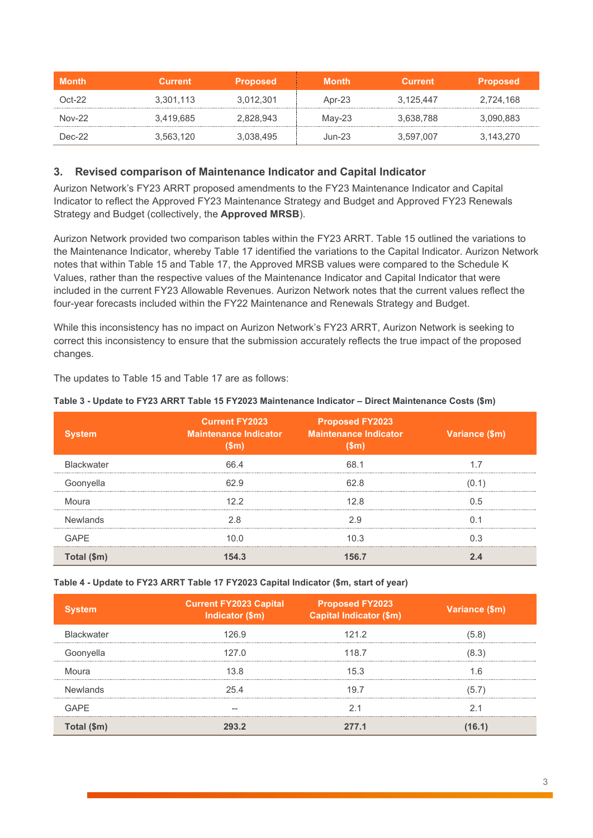| <b>Month</b> | Current   | <b>Proposed</b> | Month  | Current   | <b>Proposed</b> |
|--------------|-----------|-----------------|--------|-----------|-----------------|
| Oct-22       | 3.301.113 | 3.012.301       | Apr-23 | 3.125.447 | 2.724.168       |
| $Nov-22$     | 3.419.685 | 2.828.943       | Mav-23 | 3,638,788 | 3,090,883       |
| $Dec-22$     | 3.563.120 | 3.038.495       | Jun-23 | 3.597.007 | 3.143.270       |

### **3. Revised comparison of Maintenance Indicator and Capital Indicator**

Aurizon Network's FY23 ARRT proposed amendments to the FY23 Maintenance Indicator and Capital Indicator to reflect the Approved FY23 Maintenance Strategy and Budget and Approved FY23 Renewals Strategy and Budget (collectively, the **Approved MRSB**).

Aurizon Network provided two comparison tables within the FY23 ARRT. Table 15 outlined the variations to the Maintenance Indicator, whereby Table 17 identified the variations to the Capital Indicator. Aurizon Network notes that within Table 15 and Table 17, the Approved MRSB values were compared to the Schedule K Values, rather than the respective values of the Maintenance Indicator and Capital Indicator that were included in the current FY23 Allowable Revenues. Aurizon Network notes that the current values reflect the four-year forecasts included within the FY22 Maintenance and Renewals Strategy and Budget.

While this inconsistency has no impact on Aurizon Network's FY23 ARRT, Aurizon Network is seeking to correct this inconsistency to ensure that the submission accurately reflects the true impact of the proposed changes.

The updates to Table 15 and Table 17 are as follows:

| /stem             | <b>Current FY2023</b><br><b>Maintenance Indicator</b><br>(Sm) | <b>Proposed FY2023</b><br><b>Maintenance Indicator</b> | Variance (\$m) |
|-------------------|---------------------------------------------------------------|--------------------------------------------------------|----------------|
| <b>Blackwater</b> | 66 4                                                          | 68.1                                                   |                |
| Goonyella         | 62 9                                                          | 62 R                                                   |                |
| Moura             |                                                               | 12.8                                                   |                |
| <b>Newlands</b>   |                                                               |                                                        |                |
| GAPF              |                                                               | 10.3                                                   |                |
| Total (\$m)       |                                                               |                                                        |                |

#### **Table 3 - Update to FY23 ARRT Table 15 FY2023 Maintenance Indicator – Direct Maintenance Costs (\$m)**

**Table 4 - Update to FY23 ARRT Table 17 FY2023 Capital Indicator (\$m, start of year)**

| stem              | <b>Current FY2023 Capital</b><br>Indicator (\$m) | <b>Proposed FY2023</b><br><b>Capital Indicator (\$m)</b> | Variance (\$m) |
|-------------------|--------------------------------------------------|----------------------------------------------------------|----------------|
| <b>Blackwater</b> | 126.9                                            | 1212                                                     | 5.8            |
| Goonvella         | 127 በ                                            | 1187                                                     |                |
| Moura             | 13.8                                             | 15.3                                                     | h              |
| Newlands          | 254                                              | 197                                                      |                |
| GAPF              |                                                  |                                                          |                |
| Total (\$m)       |                                                  | 277 1                                                    |                |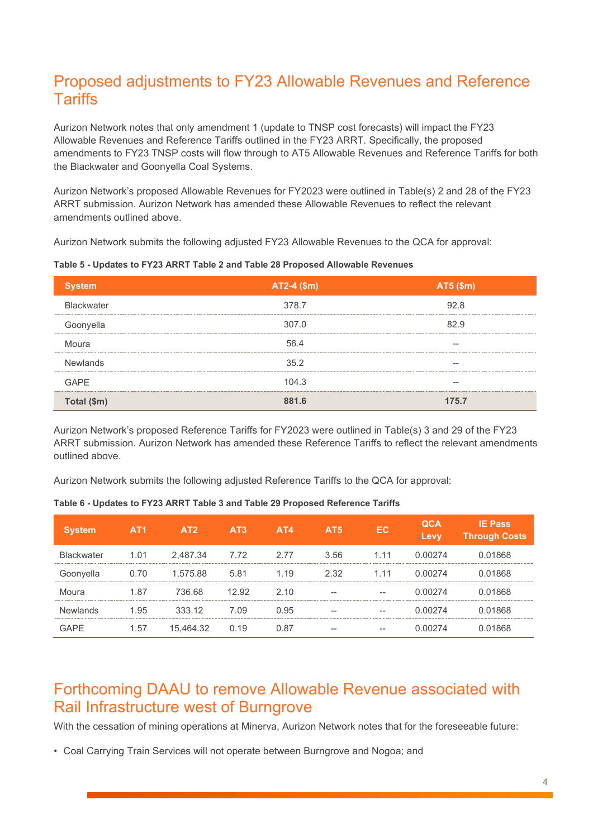## Proposed adjustments to FY23 Allowable Revenues and Reference **Tariffs**

Aurizon Network notes that only amendment 1 (update to TNSP cost forecasts) will impact the FY23 Allowable Revenues and Reference Tariffs outlined in the FY23 ARRT. Specifically, the proposed amendments to FY23 TNSP costs will flow through to AT5 Allowable Revenues and Reference Tariffs for both the Blackwater and Goonyella Coal Systems.

Aurizon Network's proposed Allowable Revenues for FY2023 were outlined in Table(s) 2 and 28 of the FY23 ARRT submission. Aurizon Network has amended these Allowable Revenues to reflect the relevant amendments outlined above.

Aurizon Network submits the following adjusted FY23 Allowable Revenues to the QCA for approval:

|                   | $AT2-4$ (\$m) | <b>AT5 (\$m)</b> |
|-------------------|---------------|------------------|
| <b>Blackwater</b> | 378.7         | 92.8             |
| Goonyella         | 307.0         | 829              |
| Moura             | 56 $\Delta$   |                  |
| Newlands          | 35.2          |                  |
| GAPF              | 104.3         |                  |
| Total (\$m)       |               | 1757             |

**Table 5 - Updates to FY23 ARRT Table 2 and Table 28 Proposed Allowable Revenues**

Aurizon Network's proposed Reference Tariffs for FY2023 were outlined in Table(s) 3 and 29 of the FY23 ARRT submission. Aurizon Network has amended these Reference Tariffs to reflect the relevant amendments outlined above.

Aurizon Network submits the following adjusted Reference Tariffs to the QCA for approval:

|                | AT <sub>1</sub> |          | AT <sub>3</sub> | AT4   | AT <sub>5</sub> | FC.   | <b>evv</b> | Pass<br><b>Through Costs</b> |
|----------------|-----------------|----------|-----------------|-------|-----------------|-------|------------|------------------------------|
| ckwater<br>Bla | 1.01            | 2.487.34 | 7.72            | 2.77  | 3.56            |       | 274        | 868                          |
| Goonyella      |                 | 1.575.88 | 5.81            | 1.19  | 2.32            |       | 74         | 868                          |
|                | -87             | 736 68   | 12.92           | 2 1 0 |                 | $- -$ |            | 868                          |
|                |                 | 333.12   | 7.09            | N 95  |                 |       | 174        | 868                          |
|                |                 |          | 19              |       | --              |       |            |                              |

**Table 6 - Updates to FY23 ARRT Table 3 and Table 29 Proposed Reference Tariffs**

## Forthcoming DAAU to remove Allowable Revenue associated with Rail Infrastructure west of Burngrove

With the cessation of mining operations at Minerva, Aurizon Network notes that for the foreseeable future:

• Coal Carrying Train Services will not operate between Burngrove and Nogoa; and